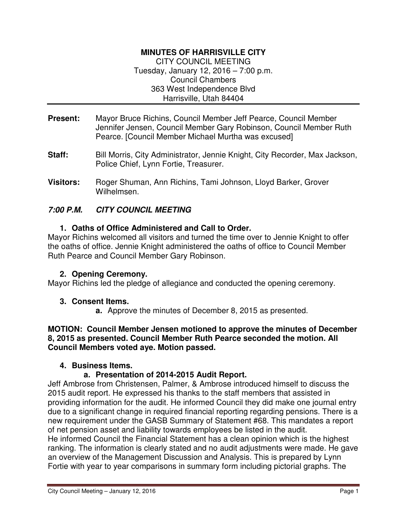# **MINUTES OF HARRISVILLE CITY**

CITY COUNCIL MEETING Tuesday, January 12, 2016 – 7:00 p.m. Council Chambers 363 West Independence Blvd Harrisville, Utah 84404

- **Present:** Mayor Bruce Richins, Council Member Jeff Pearce, Council Member Jennifer Jensen, Council Member Gary Robinson, Council Member Ruth Pearce. [Council Member Michael Murtha was excused]
- **Staff:** Bill Morris, City Administrator, Jennie Knight, City Recorder, Max Jackson, Police Chief, Lynn Fortie, Treasurer.
- **Visitors:** Roger Shuman, Ann Richins, Tami Johnson, Lloyd Barker, Grover Wilhelmsen.

### **7:00 P.M. CITY COUNCIL MEETING**

### **1. Oaths of Office Administered and Call to Order.**

Mayor Richins welcomed all visitors and turned the time over to Jennie Knight to offer the oaths of office. Jennie Knight administered the oaths of office to Council Member Ruth Pearce and Council Member Gary Robinson.

#### **2. Opening Ceremony.**

Mayor Richins led the pledge of allegiance and conducted the opening ceremony.

### **3. Consent Items.**

**a.** Approve the minutes of December 8, 2015 as presented.

**MOTION: Council Member Jensen motioned to approve the minutes of December 8, 2015 as presented. Council Member Ruth Pearce seconded the motion. All Council Members voted aye. Motion passed.** 

#### **4. Business Items.**

### **a. Presentation of 2014-2015 Audit Report.**

Jeff Ambrose from Christensen, Palmer, & Ambrose introduced himself to discuss the 2015 audit report. He expressed his thanks to the staff members that assisted in providing information for the audit. He informed Council they did make one journal entry due to a significant change in required financial reporting regarding pensions. There is a new requirement under the GASB Summary of Statement #68. This mandates a report of net pension asset and liability towards employees be listed in the audit. He informed Council the Financial Statement has a clean opinion which is the highest ranking. The information is clearly stated and no audit adjustments were made. He gave an overview of the Management Discussion and Analysis. This is prepared by Lynn Fortie with year to year comparisons in summary form including pictorial graphs. The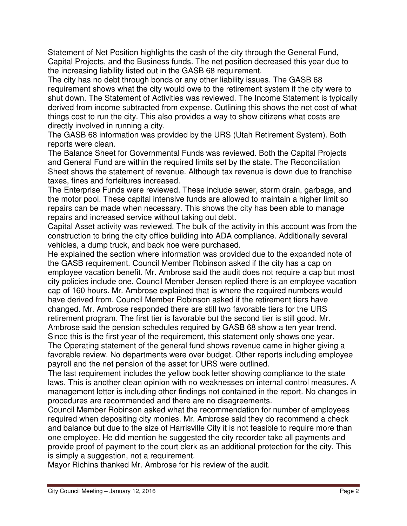Statement of Net Position highlights the cash of the city through the General Fund, Capital Projects, and the Business funds. The net position decreased this year due to the increasing liability listed out in the GASB 68 requirement.

The city has no debt through bonds or any other liability issues. The GASB 68 requirement shows what the city would owe to the retirement system if the city were to shut down. The Statement of Activities was reviewed. The Income Statement is typically derived from income subtracted from expense. Outlining this shows the net cost of what things cost to run the city. This also provides a way to show citizens what costs are directly involved in running a city.

The GASB 68 information was provided by the URS (Utah Retirement System). Both reports were clean.

The Balance Sheet for Governmental Funds was reviewed. Both the Capital Projects and General Fund are within the required limits set by the state. The Reconciliation Sheet shows the statement of revenue. Although tax revenue is down due to franchise taxes, fines and forfeitures increased.

The Enterprise Funds were reviewed. These include sewer, storm drain, garbage, and the motor pool. These capital intensive funds are allowed to maintain a higher limit so repairs can be made when necessary. This shows the city has been able to manage repairs and increased service without taking out debt.

Capital Asset activity was reviewed. The bulk of the activity in this account was from the construction to bring the city office building into ADA compliance. Additionally several vehicles, a dump truck, and back hoe were purchased.

He explained the section where information was provided due to the expanded note of the GASB requirement. Council Member Robinson asked if the city has a cap on employee vacation benefit. Mr. Ambrose said the audit does not require a cap but most city policies include one. Council Member Jensen replied there is an employee vacation cap of 160 hours. Mr. Ambrose explained that is where the required numbers would have derived from. Council Member Robinson asked if the retirement tiers have changed. Mr. Ambrose responded there are still two favorable tiers for the URS retirement program. The first tier is favorable but the second tier is still good. Mr. Ambrose said the pension schedules required by GASB 68 show a ten year trend. Since this is the first year of the requirement, this statement only shows one year.

The Operating statement of the general fund shows revenue came in higher giving a favorable review. No departments were over budget. Other reports including employee payroll and the net pension of the asset for URS were outlined.

The last requirement includes the yellow book letter showing compliance to the state laws. This is another clean opinion with no weaknesses on internal control measures. A management letter is including other findings not contained in the report. No changes in procedures are recommended and there are no disagreements.

Council Member Robinson asked what the recommendation for number of employees required when depositing city monies. Mr. Ambrose said they do recommend a check and balance but due to the size of Harrisville City it is not feasible to require more than one employee. He did mention he suggested the city recorder take all payments and provide proof of payment to the court clerk as an additional protection for the city. This is simply a suggestion, not a requirement.

Mayor Richins thanked Mr. Ambrose for his review of the audit.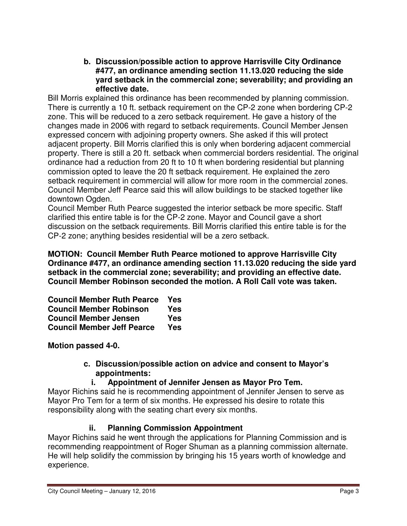**b. Discussion/possible action to approve Harrisville City Ordinance #477, an ordinance amending section 11.13.020 reducing the side yard setback in the commercial zone; severability; and providing an effective date.**

Bill Morris explained this ordinance has been recommended by planning commission. There is currently a 10 ft. setback requirement on the CP-2 zone when bordering CP-2 zone. This will be reduced to a zero setback requirement. He gave a history of the changes made in 2006 with regard to setback requirements. Council Member Jensen expressed concern with adjoining property owners. She asked if this will protect adjacent property. Bill Morris clarified this is only when bordering adjacent commercial property. There is still a 20 ft. setback when commercial borders residential. The original ordinance had a reduction from 20 ft to 10 ft when bordering residential but planning commission opted to leave the 20 ft setback requirement. He explained the zero setback requirement in commercial will allow for more room in the commercial zones. Council Member Jeff Pearce said this will allow buildings to be stacked together like downtown Ogden.

Council Member Ruth Pearce suggested the interior setback be more specific. Staff clarified this entire table is for the CP-2 zone. Mayor and Council gave a short discussion on the setback requirements. Bill Morris clarified this entire table is for the CP-2 zone; anything besides residential will be a zero setback.

**MOTION: Council Member Ruth Pearce motioned to approve Harrisville City Ordinance #477, an ordinance amending section 11.13.020 reducing the side yard setback in the commercial zone; severability; and providing an effective date. Council Member Robinson seconded the motion. A Roll Call vote was taken.** 

| <b>Council Member Ruth Pearce</b> | Yes |
|-----------------------------------|-----|
| <b>Council Member Robinson</b>    | Yes |
| <b>Council Member Jensen</b>      | Yes |
| <b>Council Member Jeff Pearce</b> | Yes |

**Motion passed 4-0.**

### **c. Discussion/possible action on advice and consent to Mayor's appointments:**

# **i. Appointment of Jennifer Jensen as Mayor Pro Tem.**

Mayor Richins said he is recommending appointment of Jennifer Jensen to serve as Mayor Pro Tem for a term of six months. He expressed his desire to rotate this responsibility along with the seating chart every six months.

# **ii. Planning Commission Appointment**

Mayor Richins said he went through the applications for Planning Commission and is recommending reappointment of Roger Shuman as a planning commission alternate. He will help solidify the commission by bringing his 15 years worth of knowledge and experience.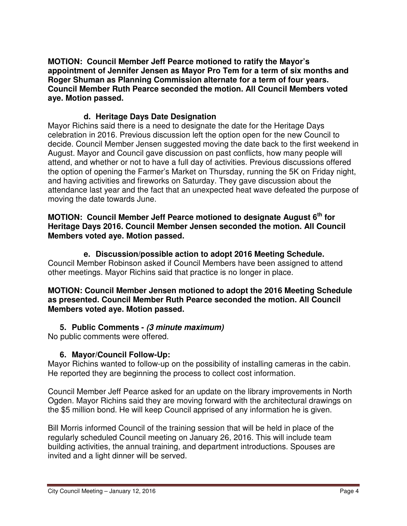**MOTION: Council Member Jeff Pearce motioned to ratify the Mayor's appointment of Jennifer Jensen as Mayor Pro Tem for a term of six months and Roger Shuman as Planning Commission alternate for a term of four years. Council Member Ruth Pearce seconded the motion. All Council Members voted aye. Motion passed.** 

### **d. Heritage Days Date Designation**

Mayor Richins said there is a need to designate the date for the Heritage Days celebration in 2016. Previous discussion left the option open for the new Council to decide. Council Member Jensen suggested moving the date back to the first weekend in August. Mayor and Council gave discussion on past conflicts, how many people will attend, and whether or not to have a full day of activities. Previous discussions offered the option of opening the Farmer's Market on Thursday, running the 5K on Friday night, and having activities and fireworks on Saturday. They gave discussion about the attendance last year and the fact that an unexpected heat wave defeated the purpose of moving the date towards June.

### **MOTION: Council Member Jeff Pearce motioned to designate August 6th for Heritage Days 2016. Council Member Jensen seconded the motion. All Council Members voted aye. Motion passed.**

**e. Discussion/possible action to adopt 2016 Meeting Schedule.**  Council Member Robinson asked if Council Members have been assigned to attend other meetings. Mayor Richins said that practice is no longer in place.

### **MOTION: Council Member Jensen motioned to adopt the 2016 Meeting Schedule as presented. Council Member Ruth Pearce seconded the motion. All Council Members voted aye. Motion passed.**

# **5. Public Comments - (3 minute maximum)**

No public comments were offered.

# **6. Mayor/Council Follow-Up:**

Mayor Richins wanted to follow-up on the possibility of installing cameras in the cabin. He reported they are beginning the process to collect cost information.

Council Member Jeff Pearce asked for an update on the library improvements in North Ogden. Mayor Richins said they are moving forward with the architectural drawings on the \$5 million bond. He will keep Council apprised of any information he is given.

Bill Morris informed Council of the training session that will be held in place of the regularly scheduled Council meeting on January 26, 2016. This will include team building activities, the annual training, and department introductions. Spouses are invited and a light dinner will be served.